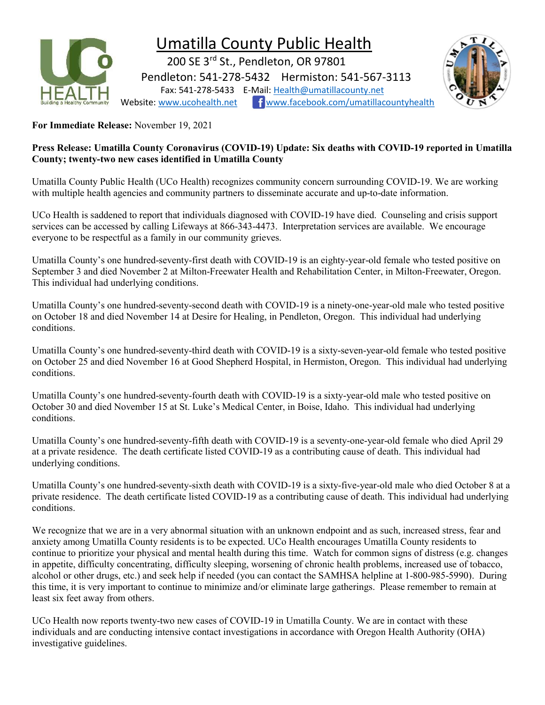

## Umatilla County Public Health

 200 SE 3rd St., Pendleton, OR 97801 Pendleton: 541-278-5432 Hermiston: 541-567-3113 Fax: 541-278-5433 E-Mail: Health@umatillacounty.net Website: www.ucohealth.net www.facebook.com/umatillacountyhealth



For Immediate Release: November 19, 2021

### Press Release: Umatilla County Coronavirus (COVID-19) Update: Six deaths with COVID-19 reported in Umatilla County; twenty-two new cases identified in Umatilla County

Umatilla County Public Health (UCo Health) recognizes community concern surrounding COVID-19. We are working with multiple health agencies and community partners to disseminate accurate and up-to-date information.

UCo Health is saddened to report that individuals diagnosed with COVID-19 have died. Counseling and crisis support services can be accessed by calling Lifeways at 866-343-4473. Interpretation services are available. We encourage everyone to be respectful as a family in our community grieves.

Umatilla County's one hundred-seventy-first death with COVID-19 is an eighty-year-old female who tested positive on September 3 and died November 2 at Milton-Freewater Health and Rehabilitation Center, in Milton-Freewater, Oregon. This individual had underlying conditions.

Umatilla County's one hundred-seventy-second death with COVID-19 is a ninety-one-year-old male who tested positive on October 18 and died November 14 at Desire for Healing, in Pendleton, Oregon. This individual had underlying conditions.

Umatilla County's one hundred-seventy-third death with COVID-19 is a sixty-seven-year-old female who tested positive on October 25 and died November 16 at Good Shepherd Hospital, in Hermiston, Oregon. This individual had underlying conditions.

Umatilla County's one hundred-seventy-fourth death with COVID-19 is a sixty-year-old male who tested positive on October 30 and died November 15 at St. Luke's Medical Center, in Boise, Idaho. This individual had underlying conditions.

Umatilla County's one hundred-seventy-fifth death with COVID-19 is a seventy-one-year-old female who died April 29 at a private residence. The death certificate listed COVID-19 as a contributing cause of death. This individual had underlying conditions.

Umatilla County's one hundred-seventy-sixth death with COVID-19 is a sixty-five-year-old male who died October 8 at a private residence. The death certificate listed COVID-19 as a contributing cause of death. This individual had underlying conditions.

We recognize that we are in a very abnormal situation with an unknown endpoint and as such, increased stress, fear and anxiety among Umatilla County residents is to be expected. UCo Health encourages Umatilla County residents to continue to prioritize your physical and mental health during this time. Watch for common signs of distress (e.g. changes in appetite, difficulty concentrating, difficulty sleeping, worsening of chronic health problems, increased use of tobacco, alcohol or other drugs, etc.) and seek help if needed (you can contact the SAMHSA helpline at 1-800-985-5990). During this time, it is very important to continue to minimize and/or eliminate large gatherings. Please remember to remain at least six feet away from others.

UCo Health now reports twenty-two new cases of COVID-19 in Umatilla County. We are in contact with these individuals and are conducting intensive contact investigations in accordance with Oregon Health Authority (OHA) investigative guidelines.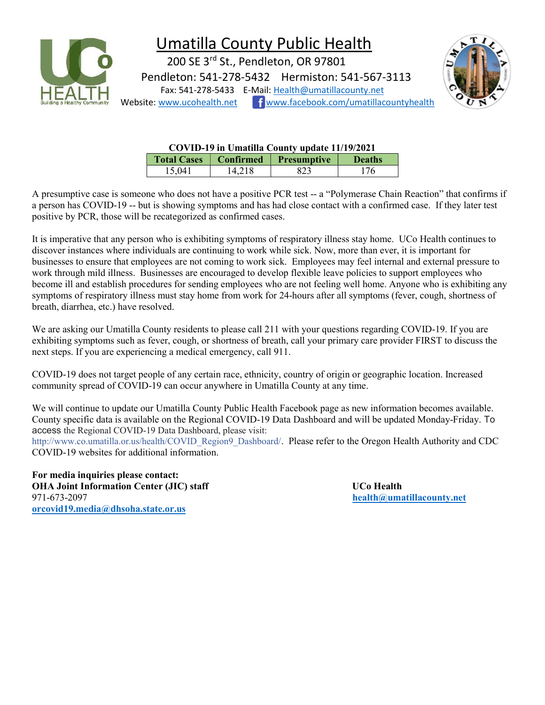

# Umatilla County Public Health

 200 SE 3rd St., Pendleton, OR 97801 Pendleton: 541-278-5432 Hermiston: 541-567-3113 Fax: 541-278-5433 E-Mail: Health@umatillacounty.net Website: www.ucohealth.net fwww.facebook.com/umatillacountyhealth



| COVID-19 in Umatilla County update 11/19/2021 |                  |                    |               |  |  |
|-----------------------------------------------|------------------|--------------------|---------------|--|--|
| <b>Total Cases</b>                            | <b>Confirmed</b> | <b>Presumptive</b> | <b>Deaths</b> |  |  |
| 15,041                                        | 14.218           | 823                | 176           |  |  |

A presumptive case is someone who does not have a positive PCR test -- a "Polymerase Chain Reaction" that confirms if a person has COVID-19 -- but is showing symptoms and has had close contact with a confirmed case. If they later test positive by PCR, those will be recategorized as confirmed cases.

It is imperative that any person who is exhibiting symptoms of respiratory illness stay home. UCo Health continues to discover instances where individuals are continuing to work while sick. Now, more than ever, it is important for businesses to ensure that employees are not coming to work sick. Employees may feel internal and external pressure to work through mild illness. Businesses are encouraged to develop flexible leave policies to support employees who become ill and establish procedures for sending employees who are not feeling well home. Anyone who is exhibiting any symptoms of respiratory illness must stay home from work for 24-hours after all symptoms (fever, cough, shortness of breath, diarrhea, etc.) have resolved.

We are asking our Umatilla County residents to please call 211 with your questions regarding COVID-19. If you are exhibiting symptoms such as fever, cough, or shortness of breath, call your primary care provider FIRST to discuss the next steps. If you are experiencing a medical emergency, call 911.

COVID-19 does not target people of any certain race, ethnicity, country of origin or geographic location. Increased community spread of COVID-19 can occur anywhere in Umatilla County at any time.

We will continue to update our Umatilla County Public Health Facebook page as new information becomes available. County specific data is available on the Regional COVID-19 Data Dashboard and will be updated Monday-Friday. To access the Regional COVID-19 Data Dashboard, please visit:

http://www.co.umatilla.or.us/health/COVID\_Region9\_Dashboard/. Please refer to the Oregon Health Authority and CDC COVID-19 websites for additional information.

For media inquiries please contact: OHA Joint Information Center (JIC) staff States and Duck Health 971-673-2097 health@umatillacounty.net orcovid19.media@dhsoha.state.or.us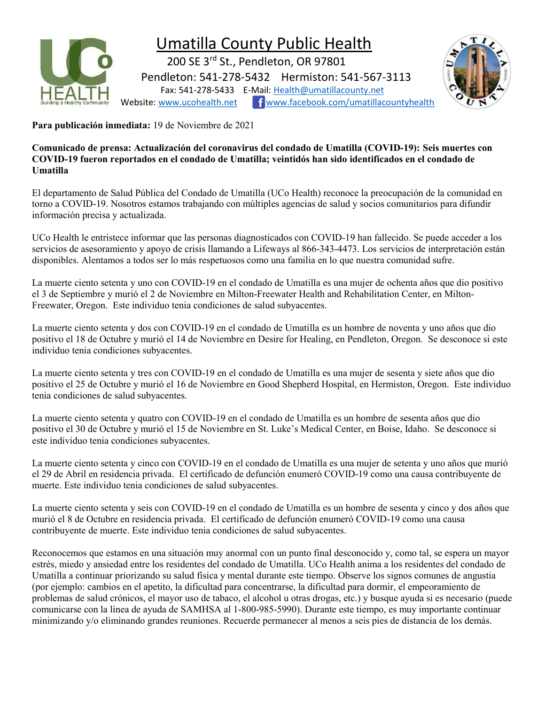

## Umatilla County Public Health

 200 SE 3rd St., Pendleton, OR 97801 Pendleton: 541-278-5432 Hermiston: 541-567-3113 Fax: 541-278-5433 E-Mail: Health@umatillacounty.net Website: www.ucohealth.net fwww.facebook.com/umatillacountyhealth



Para publicación inmediata: 19 de Noviembre de 2021

Comunicado de prensa: Actualización del coronavirus del condado de Umatilla (COVID-19): Seis muertes con COVID-19 fueron reportados en el condado de Umatilla; veintidós han sido identificados en el condado de Umatilla

El departamento de Salud Pública del Condado de Umatilla (UCo Health) reconoce la preocupación de la comunidad en torno a COVID-19. Nosotros estamos trabajando con múltiples agencias de salud y socios comunitarios para difundir información precisa y actualizada.

UCo Health le entristece informar que las personas diagnosticados con COVID-19 han fallecido. Se puede acceder a los servicios de asesoramiento y apoyo de crisis llamando a Lifeways al 866-343-4473. Los servicios de interpretación están disponibles. Alentamos a todos ser lo más respetuosos como una familia en lo que nuestra comunidad sufre.

La muerte ciento setenta y uno con COVID-19 en el condado de Umatilla es una mujer de ochenta años que dio positivo el 3 de Septiembre y murió el 2 de Noviembre en Milton-Freewater Health and Rehabilitation Center, en Milton-Freewater, Oregon. Este individuo tenia condiciones de salud subyacentes.

La muerte ciento setenta y dos con COVID-19 en el condado de Umatilla es un hombre de noventa y uno años que dio positivo el 18 de Octubre y murió el 14 de Noviembre en Desire for Healing, en Pendleton, Oregon. Se desconoce si este individuo tenia condiciones subyacentes.

La muerte ciento setenta y tres con COVID-19 en el condado de Umatilla es una mujer de sesenta y siete años que dio positivo el 25 de Octubre y murió el 16 de Noviembre en Good Shepherd Hospital, en Hermiston, Oregon. Este individuo tenia condiciones de salud subyacentes.

La muerte ciento setenta y quatro con COVID-19 en el condado de Umatilla es un hombre de sesenta años que dio positivo el 30 de Octubre y murió el 15 de Noviembre en St. Luke's Medical Center, en Boise, Idaho. Se desconoce si este individuo tenia condiciones subyacentes.

La muerte ciento setenta y cinco con COVID-19 en el condado de Umatilla es una mujer de setenta y uno años que murió el 29 de Abril en residencia privada. El certificado de defunción enumeró COVID-19 como una causa contribuyente de muerte. Este individuo tenia condiciones de salud subyacentes.

La muerte ciento setenta y seis con COVID-19 en el condado de Umatilla es un hombre de sesenta y cinco y dos años que murió el 8 de Octubre en residencia privada. El certificado de defunción enumeró COVID-19 como una causa contribuyente de muerte. Este individuo tenia condiciones de salud subyacentes.

Reconocemos que estamos en una situación muy anormal con un punto final desconocido y, como tal, se espera un mayor estrés, miedo y ansiedad entre los residentes del condado de Umatilla. UCo Health anima a los residentes del condado de Umatilla a continuar priorizando su salud física y mental durante este tiempo. Observe los signos comunes de angustia (por ejemplo: cambios en el apetito, la dificultad para concentrarse, la dificultad para dormir, el empeoramiento de problemas de salud crónicos, el mayor uso de tabaco, el alcohol u otras drogas, etc.) y busque ayuda si es necesario (puede comunicarse con la línea de ayuda de SAMHSA al 1-800-985-5990). Durante este tiempo, es muy importante continuar minimizando y/o eliminando grandes reuniones. Recuerde permanecer al menos a seis pies de distancia de los demás.